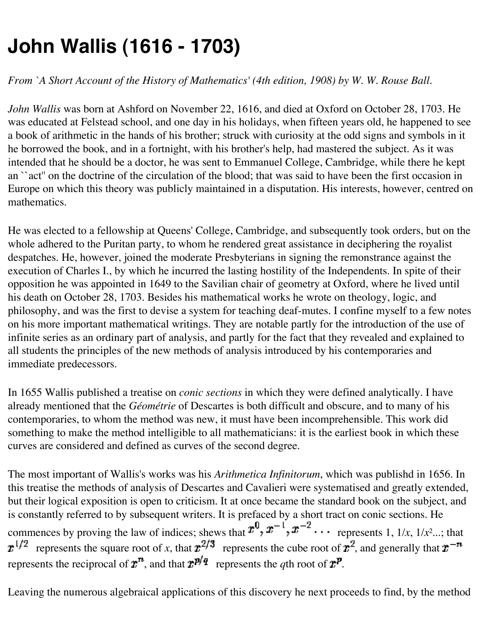## **John Wallis (1616 - 1703)**

*From `A Short Account of the History of Mathematics' (4th edition, 1908) by W. W. Rouse Ball.*

*John Wallis* was born at Ashford on November 22, 1616, and died at Oxford on October 28, 1703. He was educated at Felstead school, and one day in his holidays, when fifteen years old, he happened to see a book of arithmetic in the hands of his brother; struck with curiosity at the odd signs and symbols in it he borrowed the book, and in a fortnight, with his brother's help, had mastered the subject. As it was intended that he should be a doctor, he was sent to Emmanuel College, Cambridge, while there he kept an ``act'' on the doctrine of the circulation of the blood; that was said to have been the first occasion in Europe on which this theory was publicly maintained in a disputation. His interests, however, centred on mathematics.

He was elected to a fellowship at Queens' College, Cambridge, and subsequently took orders, but on the whole adhered to the Puritan party, to whom he rendered great assistance in deciphering the royalist despatches. He, however, joined the moderate Presbyterians in signing the remonstrance against the execution of Charles I., by which he incurred the lasting hostility of the Independents. In spite of their opposition he was appointed in 1649 to the Savilian chair of geometry at Oxford, where he lived until his death on October 28, 1703. Besides his mathematical works he wrote on theology, logic, and philosophy, and was the first to devise a system for teaching deaf-mutes. I confine myself to a few notes on his more important mathematical writings. They are notable partly for the introduction of the use of infinite series as an ordinary part of analysis, and partly for the fact that they revealed and explained to all students the principles of the new methods of analysis introduced by his contemporaries and immediate predecessors.

In 1655 Wallis published a treatise on *conic sections* in which they were defined analytically. I have already mentioned that the *Géométrie* of Descartes is both difficult and obscure, and to many of his contemporaries, to whom the method was new, it must have been incomprehensible. This work did something to make the method intelligible to all mathematicians: it is the earliest book in which these curves are considered and defined as curves of the second degree.

The most important of Wallis's works was his *Arithmetica Infinitorum*, which was publishd in 1656. In this treatise the methods of analysis of Descartes and Cavalieri were systematised and greatly extended, but their logical exposition is open to criticism. It at once became the standard book on the subject, and is constantly referred to by subsequent writers. It is prefaced by a short tract on conic sections. He commences by proving the law of indices; shews that  $x^0$ ,  $x^{-1}$ ,  $x^{-2}$ ... represents 1,  $1/x$ ,  $1/x^2$ ...; that  $x^{1/2}$  represents the square root of *x*, that  $x^{2/3}$  represents the cube root of  $x^2$ , and generally that  $x^{-n}$ represents the reciprocal of  $\mathbf{r}^n$ , and that  $\mathbf{r}^p$ , represents the *q*th root of  $\mathbf{r}^p$ .

Leaving the numerous algebraical applications of this discovery he next proceeds to find, by the method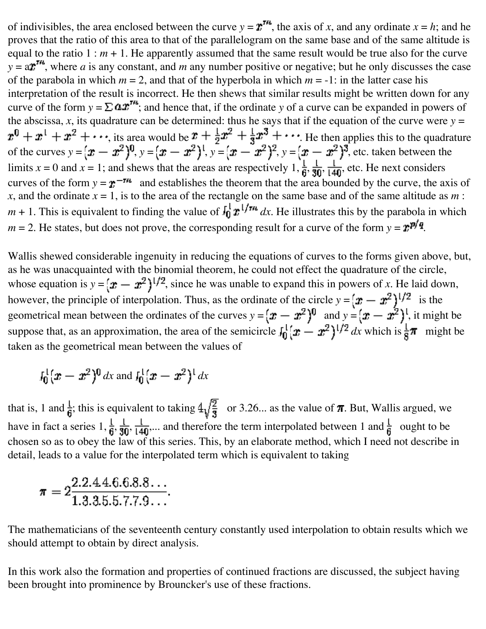of indivisibles, the area enclosed between the curve  $y = \mathbf{r}^m$ , the axis of *x*, and any ordinate  $x = h$ ; and he proves that the ratio of this area to that of the parallelogram on the same base and of the same altitude is equal to the ratio  $1 : m + 1$ . He apparently assumed that the same result would be true also for the curve  $y = a$ <sup>rm</sup>, where *a* is any constant, and *m* any number positive or negative; but he only discusses the case of the parabola in which  $m = 2$ , and that of the hyperbola in which  $m = -1$ : in the latter case his interpretation of the result is incorrect. He then shews that similar results might be written down for any curve of the form  $y = \sum \boldsymbol{a} \boldsymbol{x}^{m}$ ; and hence that, if the ordinate y of a curve can be expanded in powers of the abscissa,  $x$ , its quadrature can be determined: thus he says that if the equation of the curve were  $y =$ , its area would be  $r + \frac{1}{2}r + \frac{1}{3}r + \cdots$ . He then applies this to the quadrature of the curves  $y = [\pmb{x} - \pmb{x}^2]^0$ ,  $y = [\pmb{x} - \pmb{x}^2]^1$ ,  $y = [\pmb{x} - \pmb{x}^2]^2$ ,  $y = [\pmb{x} - \pmb{x}^2]^3$ , etc. taken between the limits  $x = 0$  and  $x = 1$ ; and shews that the areas are respectively  $1, \frac{1}{6}, \frac{1}{30}, \frac{1}{140}$ , etc. He next considers curves of the form  $y = x^{-m}$  and establishes the theorem that the area bounded by the curve, the axis of *x*, and the ordinate  $x = 1$ , is to the area of the rectangle on the same base and of the same altitude as  $m$ :  $m + 1$ . This is equivalent to finding the value of  $\int_0^1 r^{1/m} dx$ . He illustrates this by the parabola in which  $m = 2$ . He states, but does not prove, the corresponding result for a curve of the form  $y = x^{p/q}$ .

Wallis shewed considerable ingenuity in reducing the equations of curves to the forms given above, but, as he was unacquainted with the binomial theorem, he could not effect the quadrature of the circle, whose equation is  $y = (x - x^2)^{1/2}$ , since he was unable to expand this in powers of *x*. He laid down, however, the principle of interpolation. Thus, as the ordinate of the circle  $y = (\mathbf{x} - \mathbf{x}^2)^{1/2}$  is the geometrical mean between the ordinates of the curves  $y = (\mathbf{x} - \mathbf{x}^2)^0$  and  $y = (\mathbf{x} - \mathbf{x}^2)^1$ , it might be suppose that, as an approximation, the area of the semicircle  $\int_0^1 (x - x^2)^{1/2} dx$  which is  $\frac{1}{2}\pi$  might be taken as the geometrical mean between the values of

$$
I_0^1(x-x^2)^0 dx
$$
 and 
$$
I_0^1(x-x^2)^1 dx
$$

that is, 1 and  $\frac{1}{4}$ ; this is equivalent to taking  $4\sqrt{\frac{2}{9}}$  or 3.26... as the value of  $\pi$ . But, Wallis argued, we have in fact a series  $1, \frac{1}{6}, \frac{1}{30}, \frac{1}{140}$ ... and therefore the term interpolated between 1 and  $\frac{1}{6}$  ought to be chosen so as to obey the law of this series. This, by an elaborate method, which I need not describe in detail, leads to a value for the interpolated term which is equivalent to taking

$$
\pi = 2\frac{2.2.44.6.6.8.8\dots}{1.3.3.5.5.7.7.9\dots}.
$$

The mathematicians of the seventeenth century constantly used interpolation to obtain results which we should attempt to obtain by direct analysis.

In this work also the formation and properties of continued fractions are discussed, the subject having been brought into prominence by Brouncker's use of these fractions.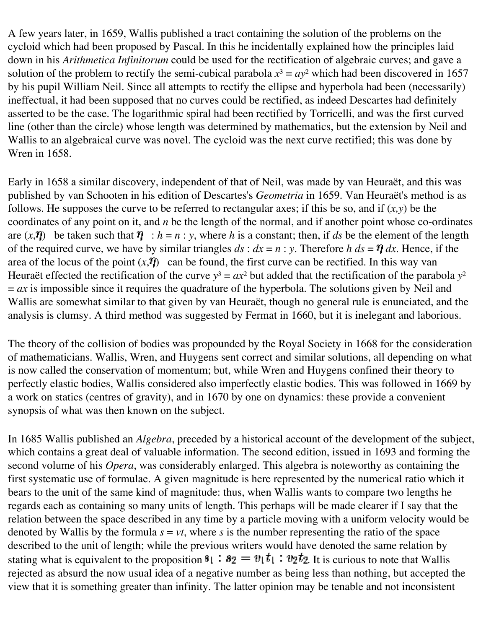A few years later, in 1659, Wallis published a tract containing the solution of the problems on the cycloid which had been proposed by Pascal. In this he incidentally explained how the principles laid down in his *Arithmetica Infinitorum* could be used for the rectification of algebraic curves; and gave a solution of the problem to rectify the semi-cubical parabola  $x^3 = ay^2$  which had been discovered in 1657 by his pupil William Neil. Since all attempts to rectify the ellipse and hyperbola had been (necessarily) ineffectual, it had been supposed that no curves could be rectified, as indeed Descartes had definitely asserted to be the case. The logarithmic spiral had been rectified by Torricelli, and was the first curved line (other than the circle) whose length was determined by mathematics, but the extension by Neil and Wallis to an algebraical curve was novel. The cycloid was the next curve rectified; this was done by Wren in 1658.

Early in 1658 a similar discovery, independent of that of Neil, was made by van Heuraët, and this was published by van Schooten in his edition of Descartes's *Geometria* in 1659. Van Heuraët's method is as follows. He supposes the curve to be referred to rectangular axes; if this be so, and if (*x,y*) be the coordinates of any point on it, and *n* be the length of the normal, and if another point whose co-ordinates are  $(x, \eta)$  be taken such that  $\eta : h = n : y$ , where *h* is a constant; then, if *ds* be the element of the length of the required curve, we have by similar triangles  $ds : dx = n : y$ . Therefore  $h ds = \eta dx$ . Hence, if the area of the locus of the point  $(x, \eta)$  can be found, the first curve can be rectified. In this way van Heuraët effected the rectification of the curve  $y^3 = ax^2$  but added that the rectification of the parabola  $y^2$  $= ax$  is impossible since it requires the quadrature of the hyperbola. The solutions given by Neil and Wallis are somewhat similar to that given by van Heuraët, though no general rule is enunciated, and the analysis is clumsy. A third method was suggested by Fermat in 1660, but it is inelegant and laborious.

The theory of the collision of bodies was propounded by the Royal Society in 1668 for the consideration of mathematicians. Wallis, Wren, and Huygens sent correct and similar solutions, all depending on what is now called the conservation of momentum; but, while Wren and Huygens confined their theory to perfectly elastic bodies, Wallis considered also imperfectly elastic bodies. This was followed in 1669 by a work on statics (centres of gravity), and in 1670 by one on dynamics: these provide a convenient synopsis of what was then known on the subject.

In 1685 Wallis published an *Algebra*, preceded by a historical account of the development of the subject, which contains a great deal of valuable information. The second edition, issued in 1693 and forming the second volume of his *Opera*, was considerably enlarged. This algebra is noteworthy as containing the first systematic use of formulae. A given magnitude is here represented by the numerical ratio which it bears to the unit of the same kind of magnitude: thus, when Wallis wants to compare two lengths he regards each as containing so many units of length. This perhaps will be made clearer if I say that the relation between the space described in any time by a particle moving with a uniform velocity would be denoted by Wallis by the formula  $s = vt$ , where *s* is the number representing the ratio of the space described to the unit of length; while the previous writers would have denoted the same relation by stating what is equivalent to the proposition  $s_1 : s_2 = v_1 t_1 : v_2 t_2$ . It is curious to note that Wallis rejected as absurd the now usual idea of a negative number as being less than nothing, but accepted the view that it is something greater than infinity. The latter opinion may be tenable and not inconsistent